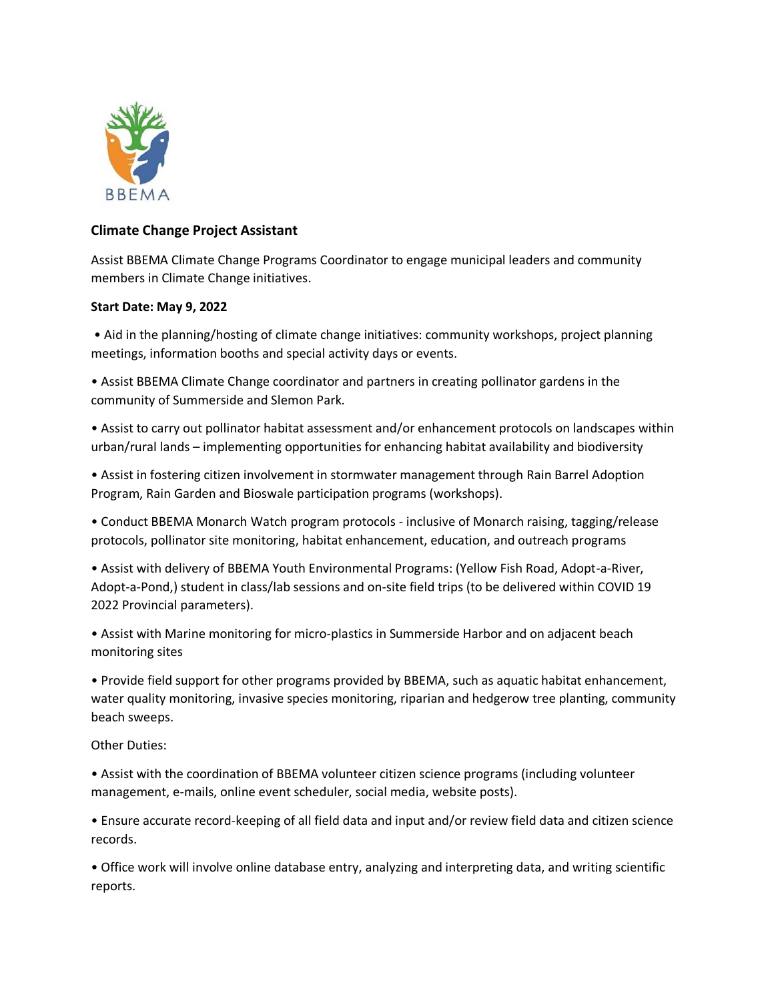

## **Climate Change Project Assistant**

Assist BBEMA Climate Change Programs Coordinator to engage municipal leaders and community members in Climate Change initiatives.

## **Start Date: May 9, 2022**

• Aid in the planning/hosting of climate change initiatives: community workshops, project planning meetings, information booths and special activity days or events.

• Assist BBEMA Climate Change coordinator and partners in creating pollinator gardens in the community of Summerside and Slemon Park.

• Assist to carry out pollinator habitat assessment and/or enhancement protocols on landscapes within urban/rural lands – implementing opportunities for enhancing habitat availability and biodiversity

• Assist in fostering citizen involvement in stormwater management through Rain Barrel Adoption Program, Rain Garden and Bioswale participation programs (workshops).

• Conduct BBEMA Monarch Watch program protocols - inclusive of Monarch raising, tagging/release protocols, pollinator site monitoring, habitat enhancement, education, and outreach programs

• Assist with delivery of BBEMA Youth Environmental Programs: (Yellow Fish Road, Adopt-a-River, Adopt-a-Pond,) student in class/lab sessions and on-site field trips (to be delivered within COVID 19 2022 Provincial parameters).

• Assist with Marine monitoring for micro-plastics in Summerside Harbor and on adjacent beach monitoring sites

• Provide field support for other programs provided by BBEMA, such as aquatic habitat enhancement, water quality monitoring, invasive species monitoring, riparian and hedgerow tree planting, community beach sweeps.

Other Duties:

• Assist with the coordination of BBEMA volunteer citizen science programs (including volunteer management, e-mails, online event scheduler, social media, website posts).

• Ensure accurate record-keeping of all field data and input and/or review field data and citizen science records.

• Office work will involve online database entry, analyzing and interpreting data, and writing scientific reports.